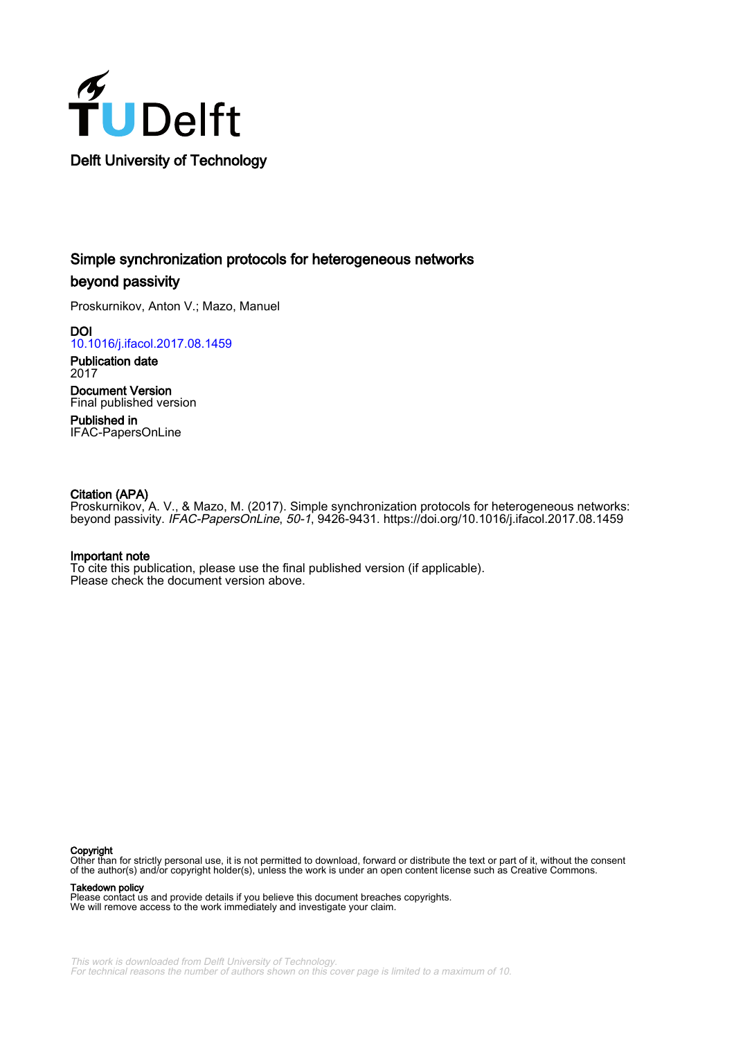

# Simple synchronization protocols for heterogeneous networks beyond passivity

Proskurnikov, Anton V.; Mazo, Manuel

**DOI** [10.1016/j.ifacol.2017.08.1459](https://doi.org/10.1016/j.ifacol.2017.08.1459)

Publication date 2017 Document Version

Final published version

Published in IFAC-PapersOnLine

# Citation (APA)

Proskurnikov, A. V., & Mazo, M. (2017). Simple synchronization protocols for heterogeneous networks: beyond passivity. IFAC-PapersOnLine, 50-1, 9426-9431. <https://doi.org/10.1016/j.ifacol.2017.08.1459>

# Important note

To cite this publication, please use the final published version (if applicable). Please check the document version above.

#### Copyright

Other than for strictly personal use, it is not permitted to download, forward or distribute the text or part of it, without the consent of the author(s) and/or copyright holder(s), unless the work is under an open content license such as Creative Commons.

Takedown policy

Please contact us and provide details if you believe this document breaches copyrights. We will remove access to the work immediately and investigate your claim.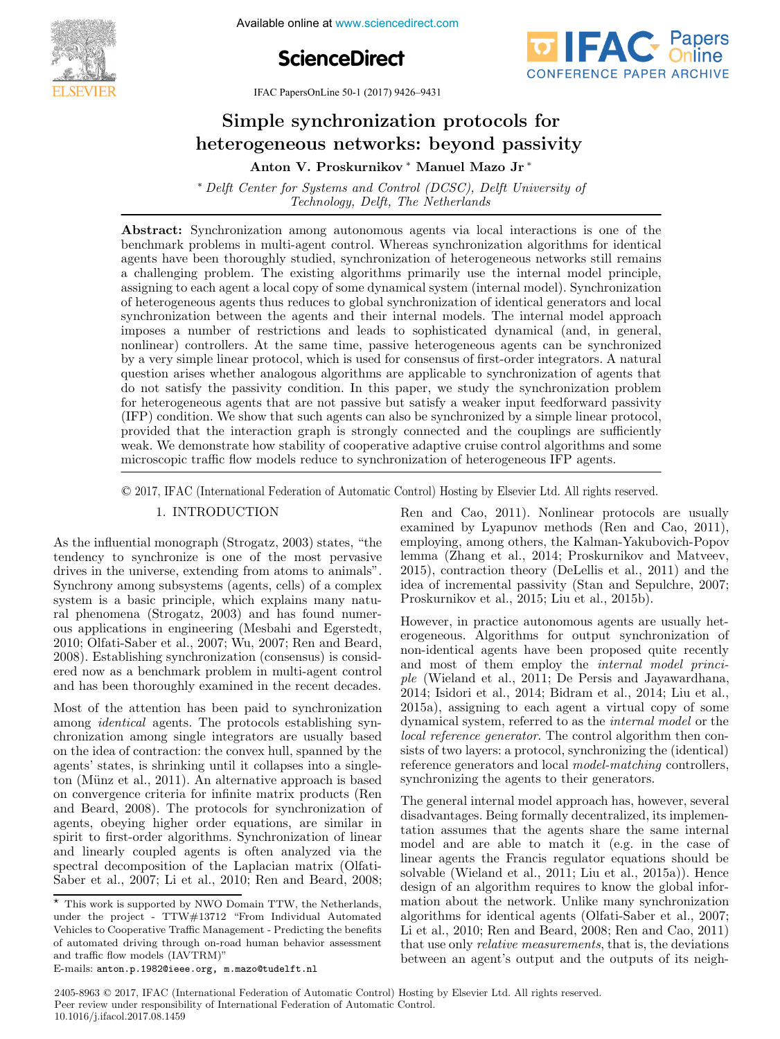**The International Federation of Available online at www.sciencedirect.com** 





IFAC PapersOnLine 50-1 (2017) 9426-9431

#### Simple synchronization protocols for heterogeneous networks: beyond passivity bgeneous networks: beyond pas Simple synchronization protocols for heterogeneous networks: beyond passivity Simple synchronization protocols for heterogeneous networks: beyond passivity

Anton V. Proskurnikov <sup>∗</sup> Manuel Mazo Jr <sup>∗</sup> Anton V. Proskurnikov <sup>∗</sup> Manuel Mazo Jr <sup>∗</sup> Anton V. Proskurnikov <sup>∗</sup> Manuel Mazo Jr <sup>∗</sup>

 $P_{\text{cyl}}$  Center for Systems and Control (DCSC), Delft University of Delft The Netherlands Technology, Delft, The Netherlands and Delft, The Netherlands and Delft, The Netherlands and Delft, The Netherlands ∗ Delft Center for Systems and Control (DCSC), Delft University of  $Iechnology, De$ ift, The Netherlands

benchmark problems in multi-agent control. Whereas synchronization algorithms for dentical agents have been thoroughly studied, synchronization of heterogeneous networks still remains a channeling problem. The existing algorithms primarily use the internal model principle, a challenging problem. The existing algorithms primarily use the internal model principle, assigning to each agent a local copy of some dynamical system (internal model). Synchronization of heterogeneous agent a local copy of some dynamical system (internal model). By hem omzation<br>of heterogeneous agents thus reduces to global synchronization of identical generators and local synchronization between the agents and their internal models. The internal model approach imposes a number of restrictions and leads to sophisticated dynamical (and, in general, influenced a number of resolutions and reads to sophisticated ay named (and, in general, by a very simple linear protocol, which is used for consensus of first-order integrators. A natural by a very simple linear protocol, which is used to consensus of this order meghators. A matural<br>question arises whether analogous algorithms are applicable to synchronization of agents that do not satisfy the passivity condition. In this paper, we study the synchronization problem for herogeneous agents that are not passive but satisfy a weaker input feedforward passivity (IFP) condition. We show that such agents can also be synchronized by a simple linear protocol, provided that the interaction graph is strongly connected and the couplings are sufficiently weak. We demonstrate how stability of cooperative adaptive cruise control algorithms and some microscopic traffic flow models reduce to synchronization of heterogeneous IFP agents. Abstract: Synchronization among autonomous agents via local interactions is one of the a challenging problem. The existing algorithms primarily use the internal model principle, microscopic traffic flow models reduce to synchronization of heterogeneous IFP agents. of heterogeneous agents thus reduces to global synchronization of identical generators and local<br>synchronization between the agents and their internal models. The internal model approach<br>imposes a number of restrictions an

© 2017, IFAC (International Federation of Automatic Control) Hosting by Elsevier Ltd. All rights reserved. microscopic traffic flow models reduce to synchronization of heterogeneous IFP agents. I. IFAC (International Federation of Automatic Control) Hosting by Elsevier Ltd. All rights reserved. we demonstrate how stability of cooperative adaptive adaptive adaptive adaptive adaptive control algorithms and some  $\odot$  2017. IFAC (International Federation of Automatic Control) Hosting by Elsevier Ltd. All rights.

microscopic traffic flow models reduce to synchronization of heterogeneous IFP agents.

#### 1. INTRODUCTION 1. INTRODUCTION 1. **INTRODUCTION**

As the influential monograph (Strogatz, 2003) states, "the tendency to synchronize is one of the most pervasive drives in the universe, extending from atoms to animals". Synchrony among subsystems (agents, cells) of a complex system is a basic principle, which explains many natural phenomena (Strogatz, 2003) and has found numerous applications in engineering (Mesbahi and Egerstedt, 2010; Olfati-Saber et al., 2007; Wu, 2007; Ren and Beard, 2008). Establishing synchronization (consensus) is considered now as a benchmark problem in multi-agent control and has been thoroughly examined in the recent decades. As the influential monograph (Strogatz, 2003) states, "the and has been thoroughly examined in the recent decades.

Most of the attention has been paid to synchronization among *identical* agents. The protocols establishing synchronization among single integrators are usually based on the idea of contraction: the convex hull, spanned by the agents' states, is shrinking until it collapses into a singleton (Münz et al., 2011). An alternative approach is based on convergence criteria for infinite matrix products (Ren and Beard, 2008). The protocols for synchronization of<br>agents obeying higher order equations are similar in agents, obeying higher order equations, are similar in spirit to first-order algorithms. Synchronization of linear and linearly coupled agents is often analyzed via the spectral decomposition of the Laplacian matrix (Olfati-Saber et al., 2007; Li et al., 2010; Ren and Beard, 2008; Most of the attention has been paid to synchronization Saber et al., 2007; Li et al., 2010; Ren and Beard, 2008;  $\mathbb{R}$ en and Cao, 2011). Nonlinear protocols are usually examined by Lyapunov methods (Ren and Cao, 2011), employing, among others, the Kalman-Yakubovich-Popov lemma (Zhang et al., 2014; Proskurnikov and Matveev, 2015), contraction theory (DeLellis et al., 2011) and the idea of incremental passivity (Stan and Sepulchre, 2007; Proskurnikov et al., 2015; Liu et al., 2015b). Proskurnikov et al., 2015; Liu et al., 2015b). idea of incremental passivity (Stan and Sepulchre, 2007; Proskurnikov et al., 2015; Liu et al., 2015b). Ren and Cao, 2011). Nonlinear protocols are usually examined by Eyapunov methods (Ren and Cao, 2011),<br>employing, among others, the Kalman-Yakubovich-Popov<br>lemma (Zhang et al., 2014; Proskurnikov and Matveev,<br>2015), contraction theory (DeLellis et al., 2011) and the<br>idea of  $\Gamma$  roskurnikov et al., 2015; Liu et al., 2015b).

However, in practice autonomous agents are usually heterogeneous. Algorithms for output synchronization of non-identical agents have been proposed quite recently and most of them employ the *internal model princi*ple (Wieland et al., 2011; De Persis and Jayawardhana, 2014; Isidori et al., 2014; Bidram et al., 2014; Liu et al., 2015a), assigning to each agent a virtual copy of some dynamical system, referred to as the *internal model* or the local reference generator. The control algorithm then consists of two layers: a protocol, synchronizing the (identical) reference generators and local *model-matching* controllers, reference generators and local model-matching controllers,<br>synchronizing the agents to their generators. However, in practice autonomous agents are usually hetsynchronizing the agents to their generators.

The general internal model approach has, however, several disadvantages. Being formally decentralized, its implementation assumes that the agents share the same internal model and are able to match it (e.g. in the case of linear agents the Francis regulator equations should be solvable (Wieland et al., 2011; Liu et al., 2015a)). Hence design of an algorithm requires to know the global information about the network. Unlike many synchronization algorithms for identical agents (Olfati-Saber et al., 2007; Li et al., 2010; Ren and Beard, 2008; Ren and Cao, 2011) that use only *relative measurements*, that is, the deviations between an agent's output and the outputs of its neigh-between an agent's output and the outputs of its neigh-that use only relative measurements, that is, the deviations The general internal model approach has, however, several  $\overline{a}$ between an agent's output and the outputs of its neigh-

 $\frac{1}{\cancel{x}}$  This work is supported by NWO Domain TTW, the Netherlands, This work is supported by NWO Domain 11 w, the Netherlands,<br>under the project - TTW#13712 "From Individual Automated Vehicles to Cooperative Traffic Management - Predicting the benefits of automated driving through on-road human behavior assessment and traffic flow models (IAVTRM)"  ${\rm E\text{-}mails: } {\tt anton.p.1982@ieee.org,} \text{ 'm.mazoftudelft.nl}$ of automated driving through on-road human behavior assessment<br>and traffic flow models  $(IN/TPMN)$  $\star$  This work is supported by NWO Domain TTW, the Netherlands,

<sup>2405-8963</sup> © 2017, IFAC (International Federation of Automatic Control) Hosting by Elsevier Ltd. All rights reserved. **Peer review under responsibility of International Federation of Automatic Control.** 10.1016/j.ifacol.2017.08.1459 **2405-8963** © 2017. **IFAC** (International Federation of Automatic Control) 1  $\mathbf{F}$ **Constitute Community of International Peteration of Automatic Copyright Construction Construction Copyright Copyright Copyright Copyright Copyright Copyright Copyright Copyright Copyright Copyright Copyright Copyright Cop**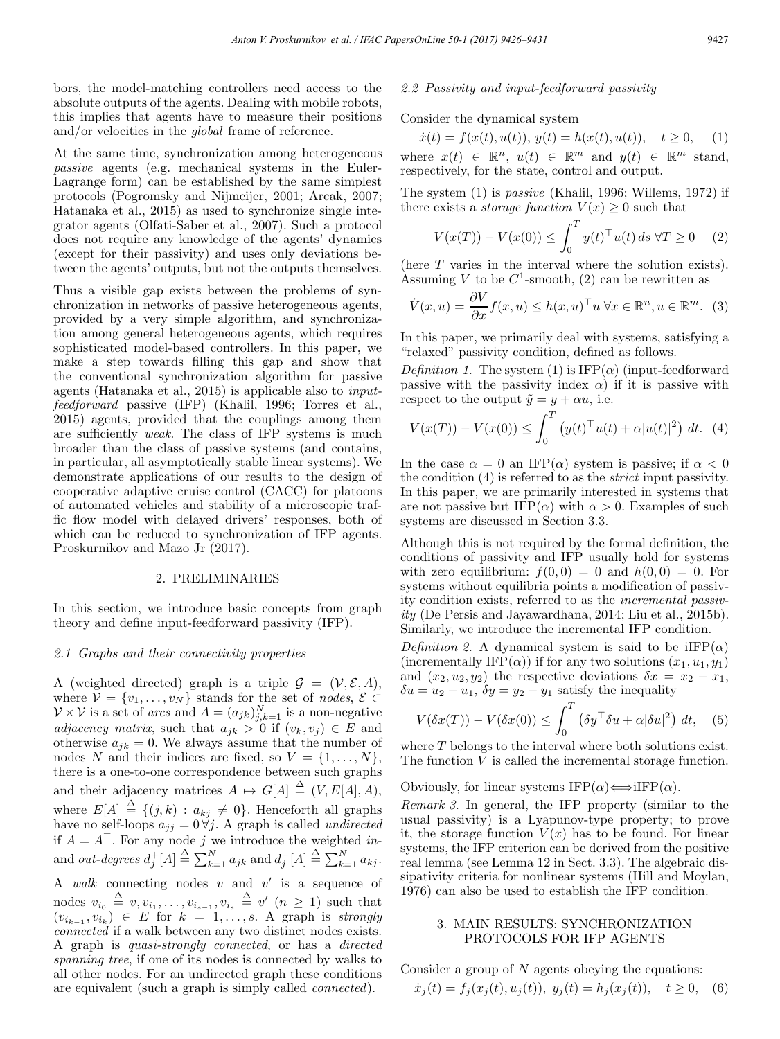bors, the model-matching controllers need access to the absolute outputs of the agents. Dealing with mobile robots, this implies that agents have to measure their positions and/or velocities in the global frame of reference.

At the same time, synchronization among heterogeneous passive agents (e.g. mechanical systems in the Euler-Lagrange form) can be established by the same simplest protocols (Pogromsky and Nijmeijer, 2001; Arcak, 2007; Hatanaka et al., 2015) as used to synchronize single integrator agents (Olfati-Saber et al., 2007). Such a protocol does not require any knowledge of the agents' dynamics (except for their passivity) and uses only deviations between the agents' outputs, but not the outputs themselves.

Thus a visible gap exists between the problems of synchronization in networks of passive heterogeneous agents, provided by a very simple algorithm, and synchronization among general heterogeneous agents, which requires sophisticated model-based controllers. In this paper, we make a step towards filling this gap and show that the conventional synchronization algorithm for passive agents (Hatanaka et al., 2015) is applicable also to inputfeedforward passive (IFP) (Khalil, 1996; Torres et al., 2015) agents, provided that the couplings among them are sufficiently weak. The class of IFP systems is much broader than the class of passive systems (and contains, in particular, all asymptotically stable linear systems). We demonstrate applications of our results to the design of cooperative adaptive cruise control (CACC) for platoons of automated vehicles and stability of a microscopic traffic flow model with delayed drivers' responses, both of which can be reduced to synchronization of IFP agents. Proskurnikov and Mazo Jr (2017).

#### 2. PRELIMINARIES

In this section, we introduce basic concepts from graph theory and define input-feedforward passivity (IFP).

#### 2.1 Graphs and their connectivity properties

A (weighted directed) graph is a triple  $\mathcal{G} = (\mathcal{V}, \mathcal{E}, A)$ , where  $V = \{v_1, \ldots, v_N\}$  stands for the set of nodes,  $\mathcal{E} \subset$  $\mathcal{V} \times \mathcal{V}$  is a set of *arcs* and  $A = (a_{jk})_{j,k=1}^N$  is a non-negative adjacency matrix, such that  $a_{jk} > 0$  if  $(v_k, v_j) \in E$  and otherwise  $a_{jk} = 0$ . We always assume that the number of nodes N and their indices are fixed, so  $V = \{1, \ldots, N\},\$ there is a one-to-one correspondence between such graphs and their adjacency matrices  $A \mapsto G[A] \triangleq (V, E[A], A),$ where  $E[A] \triangleq \{(j,k) : a_{kj} \neq 0\}$ . Henceforth all graphs have no self-loops  $a_{jj} = 0 \forall j$ . A graph is called *undirected* if  $A = A^{\top}$ . For any node j we introduce the weighted inand *out-degrees*  $d_j^+[A] \stackrel{\Delta}{=} \sum_{k=1}^N a_{jk}$  and  $d_j^-[A] \stackrel{\Delta}{=} \sum_{k=1}^N a_{kj}$ .

A walk connecting nodes  $v$  and  $v'$  is a sequence of nodes  $v_{i_0} \triangleq v, v_{i_1}, \ldots, v_{i_{s-1}}, v_{i_s} \triangleq v'$   $(n \geq 1)$  such that  $(v_{i_{k-1}}, v_{i_k}) \in E$  for  $k = 1, \ldots, s$ . A graph is strongly connected if a walk between any two distinct nodes exists. A graph is quasi-strongly connected, or has a directed spanning tree, if one of its nodes is connected by walks to all other nodes. For an undirected graph these conditions are equivalent (such a graph is simply called connected).

## 2.2 Passivity and input-feedforward passivity

Consider the dynamical system

 $\dot{x}(t) = f(x(t), u(t)), y(t) = h(x(t), u(t)), t \ge 0, (1)$ where  $x(t) \in \mathbb{R}^n$ ,  $u(t) \in \mathbb{R}^m$  and  $y(t) \in \mathbb{R}^m$  stand, respectively, for the state, control and output.

The system (1) is passive (Khalil, 1996; Willems, 1972) if there exists a *storage function*  $V(x) \geq 0$  such that

$$
V(x(T)) - V(x(0)) \le \int_0^T y(t)^\top u(t) \, ds \, \forall T \ge 0 \quad (2)
$$

(here T varies in the interval where the solution exists). Assuming V to be  $C^1$ -smooth, (2) can be rewritten as

$$
\dot{V}(x, u) = \frac{\partial V}{\partial x} f(x, u) \le h(x, u)^\top u \,\forall x \in \mathbb{R}^n, u \in \mathbb{R}^m. \tag{3}
$$

In this paper, we primarily deal with systems, satisfying a "relaxed" passivity condition, defined as follows.

Definition 1. The system (1) is  $IFP(\alpha)$  (input-feedforward passive with the passivity index  $\alpha$ ) if it is passive with respect to the output  $\tilde{y} = y + \alpha u$ , i.e.

$$
V(x(T)) - V(x(0)) \le \int_0^T (y(t)^{\top} u(t) + \alpha |u(t)|^2) dt.
$$
 (4)

In the case  $\alpha = 0$  an IFP( $\alpha$ ) system is passive; if  $\alpha < 0$ the condition (4) is referred to as the strict input passivity. In this paper, we are primarily interested in systems that are not passive but IFP( $\alpha$ ) with  $\alpha > 0$ . Examples of such systems are discussed in Section 3.3.

Although this is not required by the formal definition, the conditions of passivity and IFP usually hold for systems with zero equilibrium:  $f(0, 0) = 0$  and  $h(0, 0) = 0$ . For systems without equilibria points a modification of passivity condition exists, referred to as the incremental passivity (De Persis and Jayawardhana, 2014; Liu et al., 2015b). Similarly, we introduce the incremental IFP condition.

Definition 2. A dynamical system is said to be iIFP( $\alpha$ ) (incrementally IFP( $\alpha$ )) if for any two solutions  $(x_1, u_1, y_1)$ and  $(x_2, u_2, y_2)$  the respective deviations  $\delta x = x_2 - x_1$ ,  $\delta u = u_2 - u_1$ ,  $\delta y = y_2 - y_1$  satisfy the inequality

$$
V(\delta x(T)) - V(\delta x(0)) \le \int_0^T \left( \delta y^\top \delta u + \alpha |\delta u|^2 \right) dt, \quad (5)
$$

where T belongs to the interval where both solutions exist. The function V is called the incremental storage function.

Obviously, for linear systems  $IFP(\alpha) \Longleftrightarrow IIFP(\alpha)$ .

Remark 3. In general, the IFP property (similar to the usual passivity) is a Lyapunov-type property; to prove it, the storage function  $V(x)$  has to be found. For linear systems, the IFP criterion can be derived from the positive real lemma (see Lemma 12 in Sect. 3.3). The algebraic dissipativity criteria for nonlinear systems (Hill and Moylan, 1976) can also be used to establish the IFP condition.

#### 3. MAIN RESULTS: SYNCHRONIZATION PROTOCOLS FOR IFP AGENTS

Consider a group of  $N$  agents obeying the equations:

$$
\dot{x}_j(t) = f_j(x_j(t), u_j(t)), \ y_j(t) = h_j(x_j(t)), \quad t \ge 0, \quad (6)
$$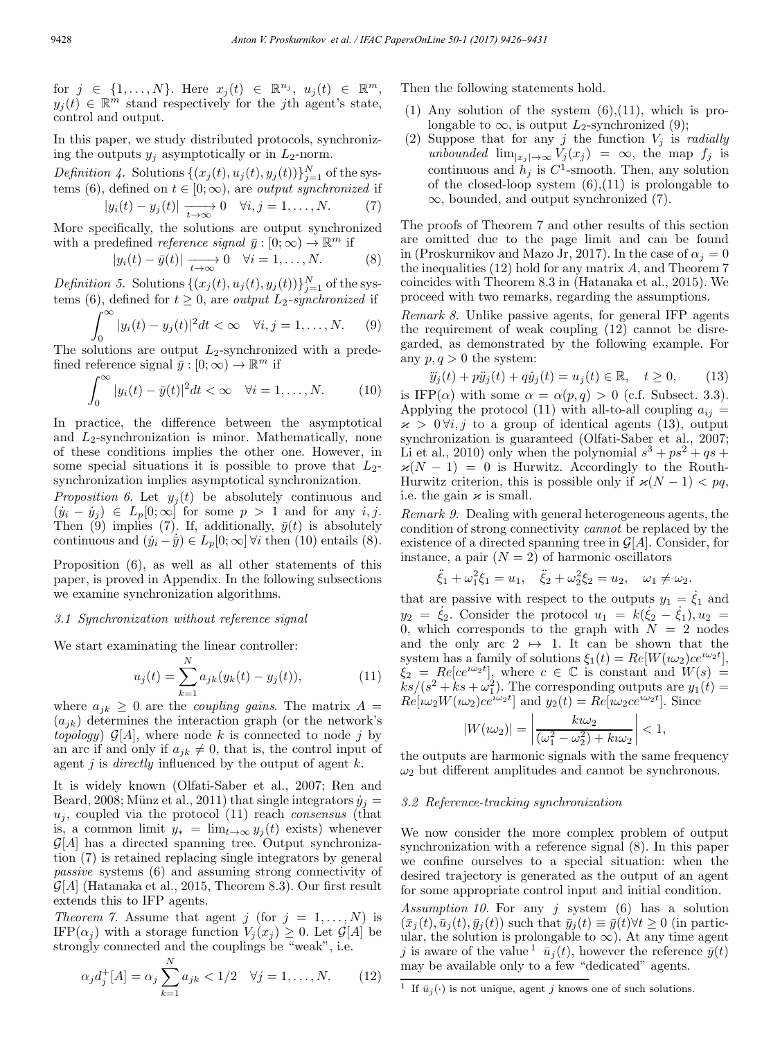for  $j \in \{1, ..., N\}$ . Here  $x_i(t) \in \mathbb{R}^{n_j}$ ,  $u_i(t) \in \mathbb{R}^m$ ,  $y_i(t) \in \mathbb{R}^m$  stand respectively for the jth agent's state, control and output.

In this paper, we study distributed protocols, synchronizing the outputs  $y_i$  asymptotically or in  $L_2$ -norm.

Definition 4. Solutions  $\{(x_j(t), u_j(t), y_j(t))\}_{j=1}^N$  of the systems (6), defined on  $t \in [0; \infty)$ , are *output synchronized* if

$$
|y_i(t) - y_j(t)| \xrightarrow[t \to \infty]{} 0 \quad \forall i, j = 1, \dots, N. \tag{7}
$$

More specifically, the solutions are output synchronized with a predefined *reference signal*  $\bar{y} : [0; \infty) \to \mathbb{R}^m$  if

$$
|y_i(t) - \bar{y}(t)| \xrightarrow[t \to \infty]{} 0 \quad \forall i = 1, ..., N. \tag{8}
$$

Definition 5. Solutions  $\{(x_j(t), u_j(t), y_j(t))\}_{j=1}^N$  of the systems (6), defined for  $t \geq 0$ , are *output*  $L_2$ -synchronized if

$$
\int_0^\infty |y_i(t) - y_j(t)|^2 dt < \infty \quad \forall i, j = 1, \dots, N. \tag{9}
$$

The solutions are output  $L_2$ -synchronized with a predefined reference signal  $\bar{y} : [0; \infty) \to \mathbb{R}^m$  if

$$
\int_0^\infty |y_i(t) - \bar{y}(t)|^2 dt < \infty \quad \forall i = 1, \dots, N. \tag{10}
$$

In practice, the difference between the asymptotical and  $L_2$ -synchronization is minor. Mathematically, none of these conditions implies the other one. However, in some special situations it is possible to prove that  $L_2$ synchronization implies asymptotical synchronization.

Proposition 6. Let  $y_i(t)$  be absolutely continuous and  $(y_i - \dot{y}_j) \in L_p[0; \infty]$  for some  $p > 1$  and for any  $i, j$ . Then (9) implies (7). If, additionally,  $\bar{y}(t)$  is absolutely continuous and  $(\dot{y}_i - \dot{\bar{y}}) \in L_p[0; \infty]$   $\forall i$  then (10) entails (8).

Proposition (6), as well as all other statements of this paper, is proved in Appendix. In the following subsections we examine synchronization algorithms.

#### 3.1 Synchronization without reference signal

We start examinating the linear controller:

$$
u_j(t) = \sum_{k=1}^{N} a_{jk}(y_k(t) - y_j(t)),
$$
\n(11)

where  $a_{jk} \geq 0$  are the *coupling gains*. The matrix  $A =$  $(a_{jk})$  determines the interaction graph (or the network's topology)  $\mathcal{G}[A]$ , where node k is connected to node j by an arc if and only if  $a_{jk} \neq 0$ , that is, the control input of agent j is directly influenced by the output of agent  $k$ .

It is widely known (Olfati-Saber et al., 2007; Ren and Beard, 2008; Münz et al., 2011) that single integrators  $\dot{y}_j =$  $u_i$ , coupled via the protocol (11) reach *consensus* (that is, a common limit  $y_* = \lim_{t\to\infty} y_j(t)$  exists) whenever  $\mathcal{G}[A]$  has a directed spanning tree. Output synchronization (7) is retained replacing single integrators by general passive systems (6) and assuming strong connectivity of  $\mathcal{G}[A]$  (Hatanaka et al., 2015, Theorem 8.3). Our first result extends this to IFP agents.

*Theorem 7.* Assume that agent j (for  $j = 1, \ldots, N$ ) is IFP( $\alpha_j$ ) with a storage function  $V_j(x_j) \geq 0$ . Let  $\mathcal{G}[A]$  be strongly connected and the couplings be "weak", i.e.

$$
\alpha_j d_j^+[A] = \alpha_j \sum_{k=1}^N a_{jk} < 1/2 \quad \forall j = 1, \dots, N. \tag{12}
$$

Then the following statements hold.

- (1) Any solution of the system  $(6)$ ,  $(11)$ , which is prolongable to  $\infty$ , is output  $L_2$ -synchronized (9);
- (2) Suppose that for any j the function  $V_j$  is radially unbounded  $\lim_{|x_i| \to \infty} V_j(x_j) = \infty$ , the map  $f_j$  is continuous and  $h_i$  is  $C^1$ -smooth. Then, any solution of the closed-loop system  $(6)$ , $(11)$  is prolongable to ∞, bounded, and output synchronized (7).

The proofs of Theorem 7 and other results of this section are omitted due to the page limit and can be found in (Proskurnikov and Mazo Jr, 2017). In the case of  $\alpha_j = 0$ the inequalities (12) hold for any matrix A, and Theorem 7 coincides with Theorem 8.3 in (Hatanaka et al., 2015). We proceed with two remarks, regarding the assumptions.

Remark 8. Unlike passive agents, for general IFP agents the requirement of weak coupling (12) cannot be disregarded, as demonstrated by the following example. For any  $p, q > 0$  the system:

$$
\ddot{y}_j(t) + p\ddot{y}_j(t) + q\dot{y}_j(t) = u_j(t) \in \mathbb{R}, \quad t \ge 0,
$$
 (13)

is IFP( $\alpha$ ) with some  $\alpha = \alpha(p,q) > 0$  (c.f. Subsect. 3.3). Applying the protocol (11) with all-to-all coupling  $a_{ij} =$  $x > 0 \forall i, j$  to a group of identical agents (13), output synchronization is guaranteed (Olfati-Saber et al., 2007; Li et al., 2010) only when the polynomial  $s^3 + ps^2 + qs +$  $\varkappa(N-1) = 0$  is Hurwitz. Accordingly to the Routh-Hurwitz criterion, this is possible only if  $\varkappa(N-1) < pq$ , i.e. the gain  $\varkappa$  is small.

Remark 9. Dealing with general heterogeneous agents, the condition of strong connectivity cannot be replaced by the existence of a directed spanning tree in  $\mathcal{G}[A]$ . Consider, for instance, a pair  $(N = 2)$  of harmonic oscillators

$$
\ddot{\xi}_1 + \omega_1^2 \xi_1 = u_1, \quad \ddot{\xi}_2 + \omega_2^2 \xi_2 = u_2, \quad \omega_1 \neq \omega_2.
$$

that are passive with respect to the outputs  $y_1 = \dot{\xi}_1$  and  $y_2 = \dot{\xi}_2$ . Consider the protocol  $u_1 = k(\dot{\xi}_2 - \dot{\xi}_1), u_2 =$ 0, which corresponds to the graph with  $N = 2$  nodes and the only arc  $2 \leftrightarrow 1$ . It can be shown that the system has a family of solutions  $\xi_1(t) = Re[W(\omega_2)ce^{\iota\omega_2 t}],$  $\xi_2 = Re[ce^{i\omega_2 t}],$  where  $c \in \mathbb{C}$  is constant and  $W(s) =$  $\overline{\dot{k}}s/(s^2+\dot{k}s+\omega_1^2)$ . The corresponding outputs are  $y_1(t)$  =  $Re[i\omega_2 W(i\omega_2)ce^{i\omega_2 t}]$  and  $y_2(t) = Re[i\omega_2ce^{i\omega_2 t}]$ . Since

$$
|W(\iota\omega_2)| = \left|\frac{k\iota\omega_2}{(\omega_1^2 - \omega_2^2) + k\iota\omega_2}\right| < 1,
$$

the outputs are harmonic signals with the same frequency  $\omega_2$  but different amplitudes and cannot be synchronous.

#### 3.2 Reference-tracking synchronization

We now consider the more complex problem of output synchronization with a reference signal (8). In this paper we confine ourselves to a special situation: when the desired trajectory is generated as the output of an agent for some appropriate control input and initial condition.

Assumption 10. For any j system  $(6)$  has a solution  $(\bar{x}_j(t), \bar{u}_j(t), \bar{y}_j(t))$  such that  $\bar{y}_j(t) \equiv \bar{y}(t) \forall t \geq 0$  (in particular, the solution is prolongable to  $\infty$ ). At any time agent j is aware of the value  $\bar{u}_j(t)$ , however the reference  $\bar{y}(t)$ may be available only to a few "dedicated" agents.

 $^1\,$  If  $\bar{u}_j(\cdot)$  is not unique, agent  $j$  knows one of such solutions.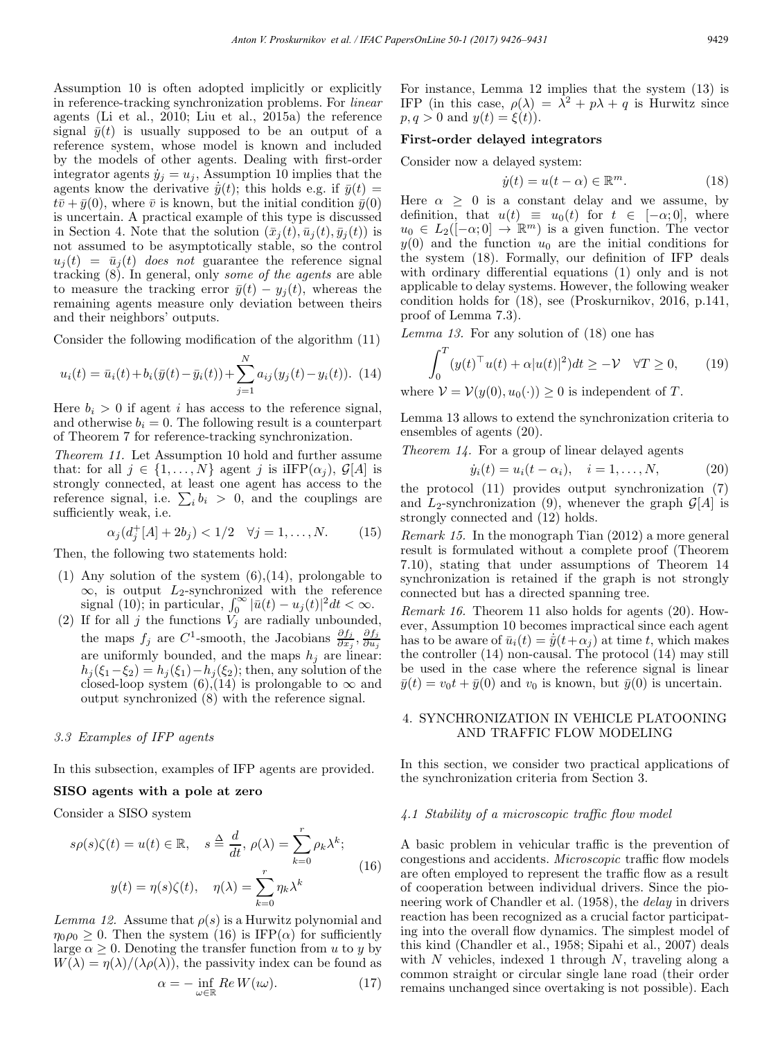Assumption 10 is often adopted implicitly or explicitly in reference-tracking synchronization problems. For linear agents (Li et al., 2010; Liu et al., 2015a) the reference signal  $\bar{y}(t)$  is usually supposed to be an output of a reference system, whose model is known and included by the models of other agents. Dealing with first-order integrator agents  $\dot{y}_i = u_i$ , Assumption 10 implies that the agents know the derivative  $\dot{\bar{y}}(t)$ ; this holds e.g. if  $\bar{y}(t)$  =  $t\bar{v} + \bar{y}(0)$ , where  $\bar{v}$  is known, but the initial condition  $\bar{y}(0)$ is uncertain. A practical example of this type is discussed in Section 4. Note that the solution  $(\bar{x}_i(t), \bar{u}_i(t), \bar{y}_i(t))$  is not assumed to be asymptotically stable, so the control  $u_i(t) = \bar{u}_i(t)$  does not guarantee the reference signal tracking (8). In general, only some of the agents are able to measure the tracking error  $\bar{y}(t) - y_j(t)$ , whereas the remaining agents measure only deviation between theirs and their neighbors' outputs.

Consider the following modification of the algorithm (11)

$$
u_i(t) = \bar{u}_i(t) + b_i(\bar{y}(t) - \bar{y}_i(t)) + \sum_{j=1}^{N} a_{ij}(y_j(t) - y_i(t)).
$$
 (14)

Here  $b_i > 0$  if agent i has access to the reference signal, and otherwise  $b_i = 0$ . The following result is a counterpart of Theorem 7 for reference-tracking synchronization.

Theorem 11. Let Assumption 10 hold and further assume that: for all  $j \in \{1, ..., N\}$  agent j is iIFP $(\alpha_i)$ ,  $\mathcal{G}[A]$  is strongly connected, at least one agent has access to the reference signal, i.e.  $\sum_i b_i > 0$ , and the couplings are sufficiently weak, i.e.

$$
\alpha_j(d_j^+[A]+2b_j) < 1/2 \quad \forall j = 1, \dots, N. \tag{15}
$$

Then, the following two statements hold:

- (1) Any solution of the system  $(6)$ ,  $(14)$ , prolongable to  $\infty$ , is output L<sub>2</sub>-synchronized with the reference signal (10); in particular,  $\int_0^\infty |\bar{u}(t) - u_j(t)|^2 dt < \infty$ .
- (2) If for all j the functions  $V_j$  are radially unbounded, the maps  $f_j$  are  $C^1$ -smooth, the Jacobians  $\frac{\partial f_j}{\partial x_j}, \frac{\partial f_j}{\partial u_j}$ are uniformly bounded, and the maps  $h_j$  are linear:  $h_i(\xi_1-\xi_2)=h_i(\xi_1)-h_i(\xi_2)$ ; then, any solution of the closed-loop system  $(6)$ , $(14)$  is prolongable to  $\infty$  and output synchronized (8) with the reference signal.

#### 3.3 Examples of IFP agents

In this subsection, examples of IFP agents are provided.

#### SISO agents with a pole at zero

Consider a SISO system

$$
s\rho(s)\zeta(t) = u(t) \in \mathbb{R}, \quad s \stackrel{\Delta}{=} \frac{d}{dt}, \ \rho(\lambda) = \sum_{k=0}^{r} \rho_k \lambda^k; \ny(t) = \eta(s)\zeta(t), \quad \eta(\lambda) = \sum_{k=0}^{r} \eta_k \lambda^k
$$
\n(16)

Lemma 12. Assume that  $\rho(s)$  is a Hurwitz polynomial and  $\eta_0 \rho_0 \geq 0$ . Then the system (16) is IFP( $\alpha$ ) for sufficiently large  $\alpha \geq 0$ . Denoting the transfer function from u to y by  $W(\lambda) = \eta(\lambda)/(\lambda \rho(\lambda))$ , the passivity index can be found as

$$
\alpha = -\inf_{\omega \in \mathbb{R}} Re W(\omega). \tag{17}
$$

For instance, Lemma 12 implies that the system (13) is IFP (in this case,  $\rho(\lambda) = \lambda^2 + p\lambda + q$  is Hurwitz since  $p, q > 0$  and  $y(t) = \xi(t)$ ).

### First-order delayed integrators

Consider now a delayed system:

$$
\dot{y}(t) = u(t - \alpha) \in \mathbb{R}^m. \tag{18}
$$

Here  $\alpha \geq 0$  is a constant delay and we assume, by definition, that  $u(t) \equiv u_0(t)$  for  $t \in [-\alpha, 0]$ , where  $u_0 \in L_2(-\alpha;0] \to \mathbb{R}^m$  is a given function. The vector  $y(0)$  and the function  $u_0$  are the initial conditions for the system (18). Formally, our definition of IFP deals with ordinary differential equations (1) only and is not applicable to delay systems. However, the following weaker condition holds for (18), see (Proskurnikov, 2016, p.141, proof of Lemma 7.3).

Lemma 13. For any solution of (18) one has

$$
\int_0^T (y(t)^\top u(t) + \alpha |u(t)|^2) dt \ge -\mathcal{V} \quad \forall T \ge 0,
$$
 (19)

where  $V = V(y(0), u_0(\cdot)) > 0$  is independent of T.

Lemma 13 allows to extend the synchronization criteria to ensembles of agents (20).

Theorem 14. For a group of linear delayed agents

$$
\dot{y}_i(t) = u_i(t - \alpha_i), \quad i = 1, ..., N,
$$
\n(20)

the protocol (11) provides output synchronization (7) and  $L_2$ -synchronization (9), whenever the graph  $\mathcal{G}[A]$  is strongly connected and (12) holds.

Remark 15. In the monograph Tian (2012) a more general result is formulated without a complete proof (Theorem 7.10), stating that under assumptions of Theorem 14 synchronization is retained if the graph is not strongly connected but has a directed spanning tree.

Remark 16. Theorem 11 also holds for agents (20). However, Assumption 10 becomes impractical since each agent has to be aware of  $\bar{u}_i(t) = \dot{\bar{y}}(t+\alpha_i)$  at time t, which makes the controller (14) non-causal. The protocol (14) may still be used in the case where the reference signal is linear  $\bar{y}(t) = v_0 t + \bar{y}(0)$  and  $v_0$  is known, but  $\bar{y}(0)$  is uncertain.

### 4. SYNCHRONIZATION IN VEHICLE PLATOONING AND TRAFFIC FLOW MODELING

In this section, we consider two practical applications of the synchronization criteria from Section 3.

#### 4.1 Stability of a microscopic traffic flow model

A basic problem in vehicular traffic is the prevention of congestions and accidents. Microscopic traffic flow models are often employed to represent the traffic flow as a result of cooperation between individual drivers. Since the pioneering work of Chandler et al. (1958), the delay in drivers reaction has been recognized as a crucial factor participating into the overall flow dynamics. The simplest model of this kind (Chandler et al., 1958; Sipahi et al., 2007) deals with  $N$  vehicles, indexed 1 through  $N$ , traveling along a common straight or circular single lane road (their order remains unchanged since overtaking is not possible). Each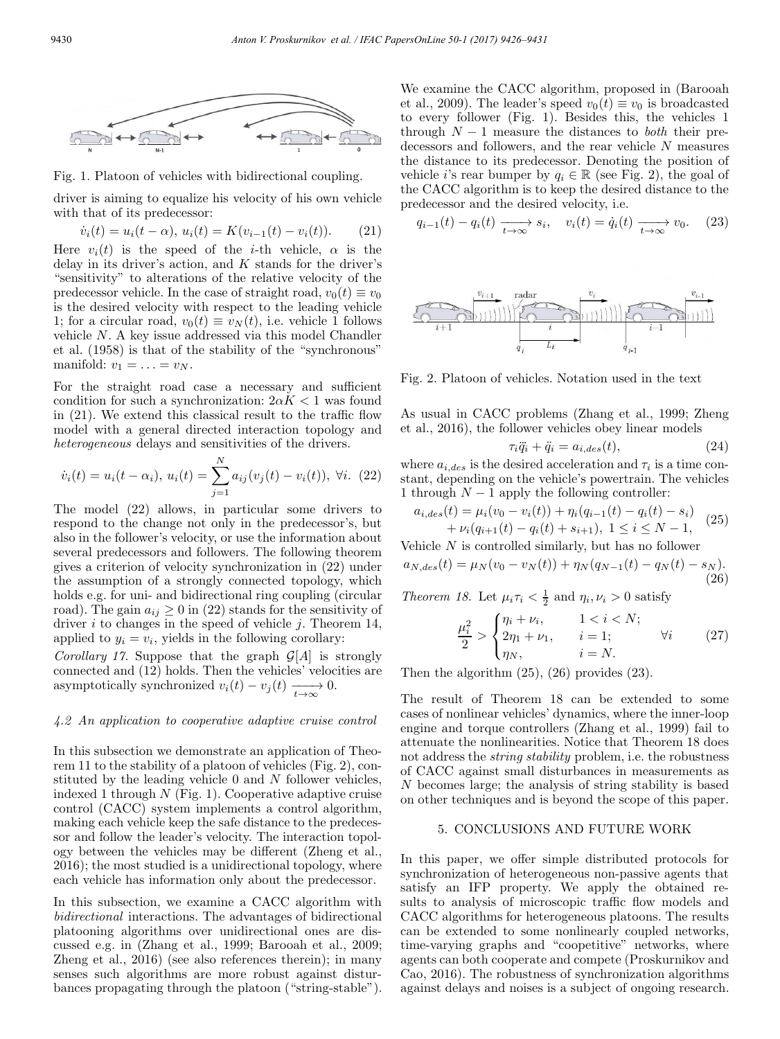

Fig. 1. Platoon of vehicles with bidirectional coupling.

driver is aiming to equalize his velocity of his own vehicle with that of its predecessor:

$$
\dot{v}_i(t) = u_i(t - \alpha), \ u_i(t) = K(v_{i-1}(t) - v_i(t)). \tag{21}
$$

Here  $v_i(t)$  is the speed of the *i*-th vehicle,  $\alpha$  is the delay in its driver's action, and  $K$  stands for the driver's "sensitivity" to alterations of the relative velocity of the predecessor vehicle. In the case of straight road,  $v_0(t) \equiv v_0$ is the desired velocity with respect to the leading vehicle 1; for a circular road,  $v_0(t) \equiv v_N(t)$ , i.e. vehicle 1 follows vehicle N. A key issue addressed via this model Chandler et al. (1958) is that of the stability of the "synchronous" manifold:  $v_1 = \ldots = v_N$ .

For the straight road case a necessary and sufficient condition for such a synchronization:  $2\alpha K < 1$  was found in (21). We extend this classical result to the traffic flow model with a general directed interaction topology and heterogeneous delays and sensitivities of the drivers.

$$
\dot{v}_i(t) = u_i(t - \alpha_i), \, u_i(t) = \sum_{j=1}^{N} a_{ij}(v_j(t) - v_i(t)), \, \forall i. \tag{22}
$$

The model (22) allows, in particular some drivers to respond to the change not only in the predecessor's, but also in the follower's velocity, or use the information about several predecessors and followers. The following theorem gives a criterion of velocity synchronization in (22) under the assumption of a strongly connected topology, which holds e.g. for uni- and bidirectional ring coupling (circular road). The gain  $a_{ij} \geq 0$  in (22) stands for the sensitivity of driver  $i$  to changes in the speed of vehicle  $j$ . Theorem 14, applied to  $y_i = v_i$ , yields in the following corollary:

Corollary 17. Suppose that the graph  $\mathcal{G}[A]$  is strongly connected and (12) holds. Then the vehicles' velocities are asymptotically synchronized  $v_i(t) - v_j(t) \xrightarrow[t \to \infty]{} 0.$ 

#### 4.2 An application to cooperative adaptive cruise control

In this subsection we demonstrate an application of Theorem 11 to the stability of a platoon of vehicles (Fig. 2), constituted by the leading vehicle 0 and N follower vehicles, indexed 1 through  $N$  (Fig. 1). Cooperative adaptive cruise control (CACC) system implements a control algorithm, making each vehicle keep the safe distance to the predecessor and follow the leader's velocity. The interaction topology between the vehicles may be different (Zheng et al., 2016); the most studied is a unidirectional topology, where each vehicle has information only about the predecessor.

In this subsection, we examine a CACC algorithm with bidirectional interactions. The advantages of bidirectional platooning algorithms over unidirectional ones are discussed e.g. in (Zhang et al., 1999; Barooah et al., 2009; Zheng et al., 2016) (see also references therein); in many senses such algorithms are more robust against disturbances propagating through the platoon ("string-stable"). We examine the CACC algorithm, proposed in (Barooah et al., 2009). The leader's speed  $v_0(t) \equiv v_0$  is broadcasted to every follower (Fig. 1). Besides this, the vehicles 1 through  $N-1$  measure the distances to *both* their predecessors and followers, and the rear vehicle  $N$  measures the distance to its predecessor. Denoting the position of vehicle *i*'s rear bumper by  $q_i \in \mathbb{R}$  (see Fig. 2), the goal of the CACC algorithm is to keep the desired distance to the predecessor and the desired velocity, i.e.

$$
q_{i-1}(t) - q_i(t) \xrightarrow[t \to \infty]{} s_i, \quad v_i(t) = \dot{q}_i(t) \xrightarrow[t \to \infty]{} v_0. \tag{23}
$$



Fig. 2. Platoon of vehicles. Notation used in the text

As usual in CACC problems (Zhang et al., 1999; Zheng et al., 2016), the follower vehicles obey linear models

$$
\tau_i \ddot{q}_i + \ddot{q}_i = a_{i, des}(t), \qquad (24)
$$

where  $a_{i,des}$  is the desired acceleration and  $\tau_i$  is a time constant, depending on the vehicle's powertrain. The vehicles 1 through  $N-1$  apply the following controller:

$$
a_{i,des}(t) = \mu_i(v_0 - v_i(t)) + \eta_i(q_{i-1}(t) - q_i(t) - s_i) + \nu_i(q_{i+1}(t) - q_i(t) + s_{i+1}), \ 1 \le i \le N - 1,
$$
 (25)

Vehicle  $N$  is controlled similarly, but has no follower

$$
a_{N,des}(t) = \mu_N(v_0 - v_N(t)) + \eta_N(q_{N-1}(t) - q_N(t) - s_N). \tag{26}
$$

Theorem 18. Let  $\mu_i \tau_i < \frac{1}{2}$  and  $\eta_i, \nu_i > 0$  satisfy

$$
\frac{\mu_i^2}{2} > \begin{cases} \eta_i + \nu_i, & 1 < i < N; \\ 2\eta_1 + \nu_1, & i = 1; \\ \eta_N, & i = N. \end{cases} \quad \forall i \tag{27}
$$

Then the algorithm (25), (26) provides (23).

The result of Theorem 18 can be extended to some cases of nonlinear vehicles' dynamics, where the inner-loop engine and torque controllers (Zhang et al., 1999) fail to attenuate the nonlinearities. Notice that Theorem 18 does not address the string stability problem, i.e. the robustness of CACC against small disturbances in measurements as N becomes large; the analysis of string stability is based on other techniques and is beyond the scope of this paper.

#### 5. CONCLUSIONS AND FUTURE WORK

In this paper, we offer simple distributed protocols for synchronization of heterogeneous non-passive agents that satisfy an IFP property. We apply the obtained results to analysis of microscopic traffic flow models and CACC algorithms for heterogeneous platoons. The results can be extended to some nonlinearly coupled networks, time-varying graphs and "coopetitive" networks, where agents can both cooperate and compete (Proskurnikov and Cao, 2016). The robustness of synchronization algorithms against delays and noises is a subject of ongoing research.